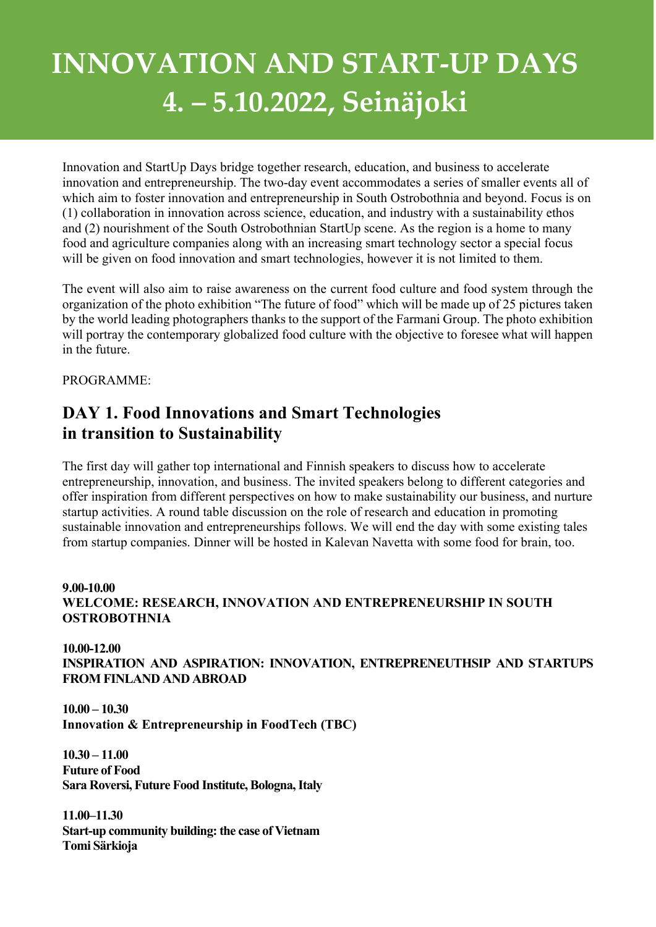# INNOVATION AND START-UP DAYS 4. – 5.10.2022, Seinäjoki

Innovation and StartUp Days bridge together research, education, and business to accelerate innovation and entrepreneurship. The two-day event accommodates a series of smaller events all of which aim to foster innovation and entrepreneurship in South Ostrobothnia and beyond. Focus is on (1) collaboration in innovation across science, education, and industry with a sustainability ethos and (2) nourishment of the South Ostrobothnian StartUp scene. As the region is a home to many food and agriculture companies along with an increasing smart technology sector a special focus will be given on food innovation and smart technologies, however it is not limited to them.

The event will also aim to raise awareness on the current food culture and food system through the organization of the photo exhibition "The future of food" which will be made up of 25 pictures taken by the world leading photographers thanks to the support of the Farmani Group. The photo exhibition will portray the contemporary globalized food culture with the objective to foresee what will happen in the future.

## PROGRAMME:

## DAY 1. Food Innovations and Smart Technologies in transition to Sustainability

The first day will gather top international and Finnish speakers to discuss how to accelerate entrepreneurship, innovation, and business. The invited speakers belong to different categories and offer inspiration from different perspectives on how to make sustainability our business, and nurture startup activities. A round table discussion on the role of research and education in promoting sustainable innovation and entrepreneurships follows. We will end the day with some existing tales from startup companies. Dinner will be hosted in Kalevan Navetta with some food for brain, too.

## 9.00-10.00 WELCOME: RESEARCH, INNOVATION AND ENTREPRENEURSHIP IN SOUTH **OSTROBOTHNIA**

10.00-12.00 INSPIRATION AND ASPIRATION: INNOVATION, ENTREPRENEUTHSIP AND STARTUPS FROM FINLAND AND ABROAD

10.00 – 10.30 Innovation & Entrepreneurship in FoodTech (TBC)

10.30 – 11.00 Future of Food Sara Roversi, Future Food Institute, Bologna, Italy

11.00–11.30 Start-up community building: the case of Vietnam Tomi Särkioja